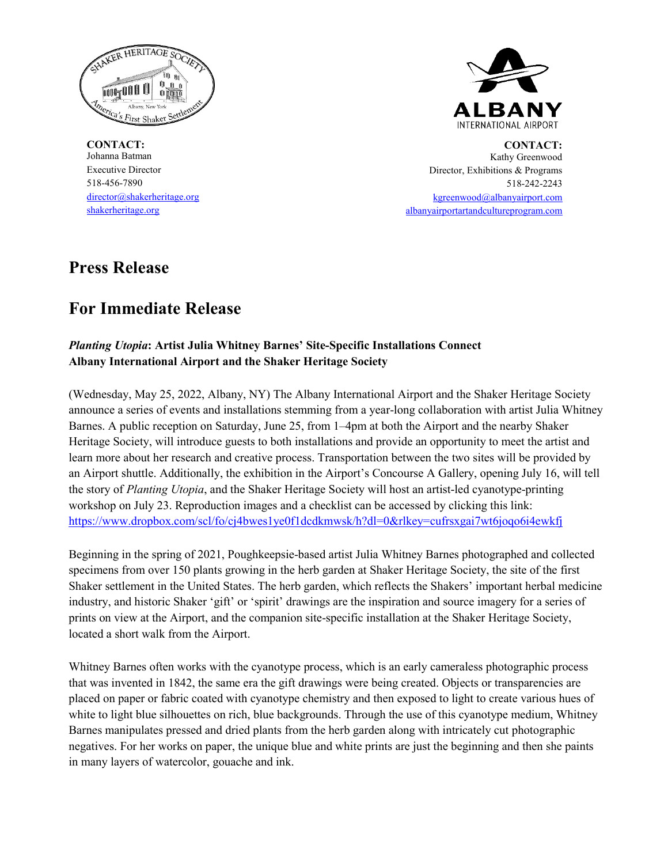

**CONTACT:** Johanna Batman Executive Director 518-456-7890 director@shakerheritage.org shakerheritage.org



**CONTACT:** Kathy Greenwood Director, Exhibitions & Programs 518-242-2243 [kgreenwood@albanyairport.com](mailto:kgreenwood@albanyairport.com) [albanyairportartandcultureprogram.com](https://www.albanyairportartandcultureprogram.com/)

# **Press Release**

# **For Immediate Release**

## *Planting Utopia***: Artist Julia Whitney Barnes' Site-Specific Installations Connect Albany International Airport and the Shaker Heritage Society**

(Wednesday, May 25, 2022, Albany, NY) The Albany International Airport and the Shaker Heritage Society announce a series of events and installations stemming from a year-long collaboration with artist Julia Whitney Barnes. A public reception on Saturday, June 25, from 1–4pm at both the Airport and the nearby Shaker Heritage Society, will introduce guests to both installations and provide an opportunity to meet the artist and learn more about her research and creative process. Transportation between the two sites will be provided by an Airport shuttle. Additionally, the exhibition in the Airport's Concourse A Gallery, opening July 16, will tell the story of *Planting Utopia*, and the Shaker Heritage Society will host an artist-led cyanotype-printing workshop on July 23. Reproduction images and a checklist can be accessed by clicking this link: <https://www.dropbox.com/scl/fo/cj4bwes1ye0f1dcdkmwsk/h?dl=0&rlkey=cufrsxgai7wt6joqo6i4ewkfj>

Beginning in the spring of 2021, Poughkeepsie-based artist Julia Whitney Barnes photographed and collected specimens from over 150 plants growing in the herb garden at Shaker Heritage Society, the site of the first Shaker settlement in the United States. The herb garden, which reflects the Shakers' important herbal medicine industry, and historic Shaker 'gift' or 'spirit' drawings are the inspiration and source imagery for a series of prints on view at the Airport, and the companion site-specific installation at the Shaker Heritage Society, located a short walk from the Airport.

Whitney Barnes often works with the cyanotype process, which is an early cameraless photographic process that was invented in 1842, the same era the gift drawings were being created. Objects or transparencies are placed on paper or fabric coated with cyanotype chemistry and then exposed to light to create various hues of white to light blue silhouettes on rich, blue backgrounds. Through the use of this cyanotype medium, Whitney Barnes manipulates pressed and dried plants from the herb garden along with intricately cut photographic negatives. For her works on paper, the unique blue and white prints are just the beginning and then she paints in many layers of watercolor, gouache and ink.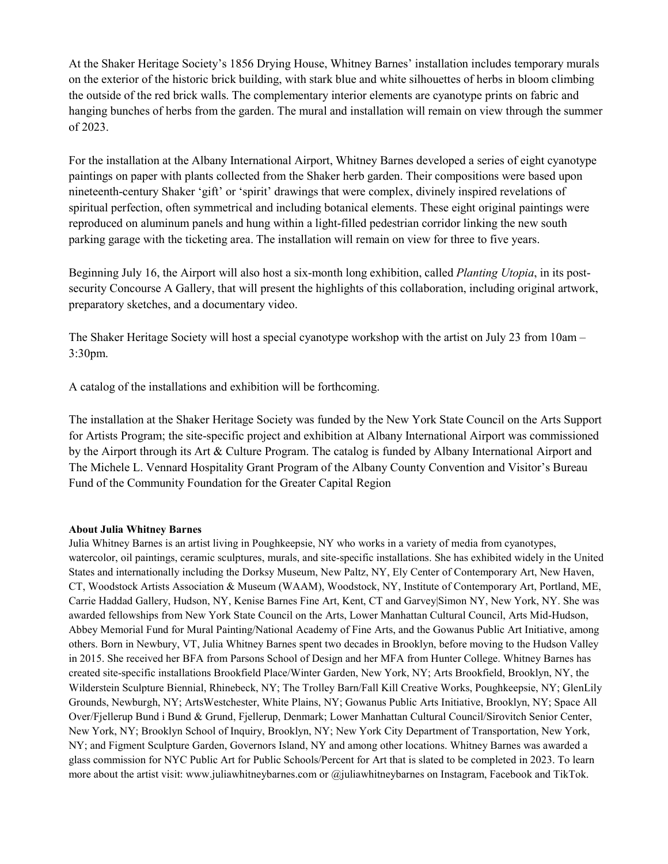At the Shaker Heritage Society's 1856 Drying House, Whitney Barnes' installation includes temporary murals on the exterior of the historic brick building, with stark blue and white silhouettes of herbs in bloom climbing the outside of the red brick walls. The complementary interior elements are cyanotype prints on fabric and hanging bunches of herbs from the garden. The mural and installation will remain on view through the summer of 2023.

For the installation at the Albany International Airport, Whitney Barnes developed a series of eight cyanotype paintings on paper with plants collected from the Shaker herb garden. Their compositions were based upon nineteenth-century Shaker 'gift' or 'spirit' drawings that were complex, divinely inspired revelations of spiritual perfection, often symmetrical and including botanical elements. These eight original paintings were reproduced on aluminum panels and hung within a light-filled pedestrian corridor linking the new south parking garage with the ticketing area. The installation will remain on view for three to five years.

Beginning July 16, the Airport will also host a six-month long exhibition, called *Planting Utopia*, in its postsecurity Concourse A Gallery, that will present the highlights of this collaboration, including original artwork, preparatory sketches, and a documentary video.

The Shaker Heritage Society will host a special cyanotype workshop with the artist on July 23 from 10am – 3:30pm.

A catalog of the installations and exhibition will be forthcoming.

The installation at the Shaker Heritage Society was funded by the New York State Council on the Arts Support for Artists Program; the site-specific project and exhibition at Albany International Airport was commissioned by the Airport through its Art & Culture Program. The catalog is funded by Albany International Airport and The Michele L. Vennard Hospitality Grant Program of the Albany County Convention and Visitor's Bureau Fund of the Community Foundation for the Greater Capital Region

### **About Julia Whitney Barnes**

Julia Whitney Barnes is an artist living in Poughkeepsie, NY who works in a variety of media from cyanotypes, watercolor, oil paintings, ceramic sculptures, murals, and site-specific installations. She has exhibited widely in the United States and internationally including the Dorksy Museum, New Paltz, NY, Ely Center of Contemporary Art, New Haven, CT, Woodstock Artists Association & Museum (WAAM), Woodstock, NY, Institute of Contemporary Art, Portland, ME, Carrie Haddad Gallery, Hudson, NY, Kenise Barnes Fine Art, Kent, CT and Garvey|Simon NY, New York, NY. She was awarded fellowships from New York State Council on the Arts, Lower Manhattan Cultural Council, Arts Mid-Hudson, Abbey Memorial Fund for Mural Painting/National Academy of Fine Arts, and the Gowanus Public Art Initiative, among others. Born in Newbury, VT, Julia Whitney Barnes spent two decades in Brooklyn, before moving to the Hudson Valley in 2015. She received her BFA from Parsons School of Design and her MFA from Hunter College. Whitney Barnes has created site-specific installations Brookfield Place/Winter Garden, New York, NY; Arts Brookfield, Brooklyn, NY, the Wilderstein Sculpture Biennial, Rhinebeck, NY; The Trolley Barn/Fall Kill Creative Works, Poughkeepsie, NY; GlenLily Grounds, Newburgh, NY; ArtsWestchester, White Plains, NY; Gowanus Public Arts Initiative, Brooklyn, NY; Space All Over/Fjellerup Bund i Bund & Grund, Fjellerup, Denmark; Lower Manhattan Cultural Council/Sirovitch Senior Center, New York, NY; Brooklyn School of Inquiry, Brooklyn, NY; New York City Department of Transportation, New York, NY; and Figment Sculpture Garden, Governors Island, NY and among other locations. Whitney Barnes was awarded a glass commission for NYC Public Art for Public Schools/Percent for Art that is slated to be completed in 2023. To learn more about the artist visit: www.juliawhitneybarnes.com or @juliawhitneybarnes on Instagram, Facebook and TikTok.